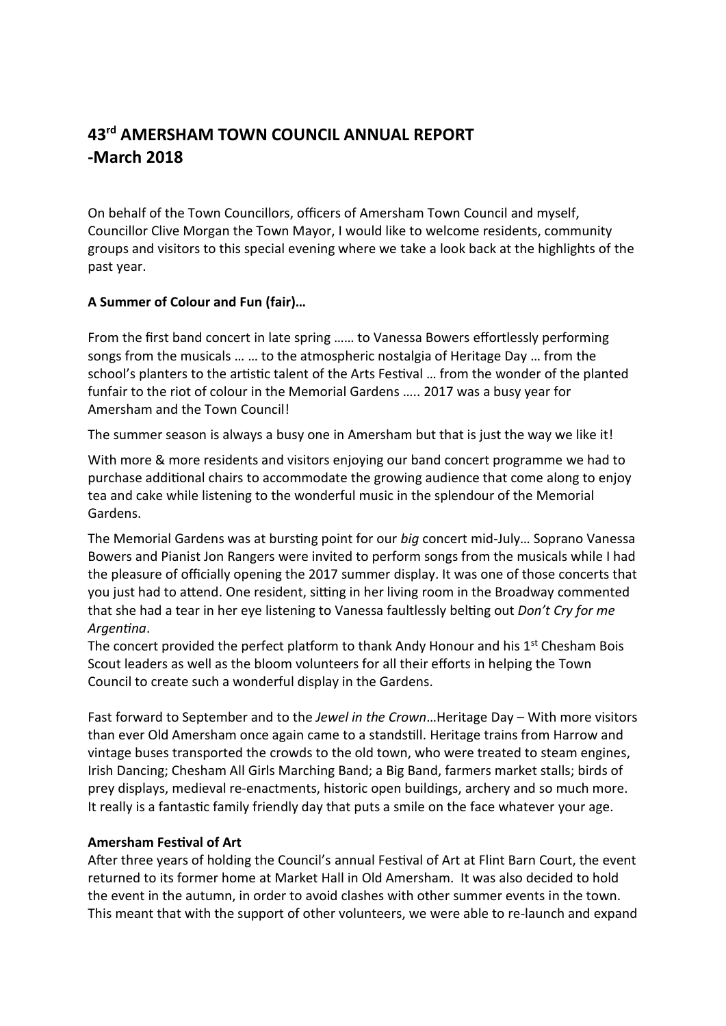# **43 rd AMERSHAM TOWN COUNCIL ANNUAL REPORT -March 2018**

On behalf of the Town Councillors, officers of Amersham Town Council and myself, Councillor Clive Morgan the Town Mayor, I would like to welcome residents, community groups and visitors to this special evening where we take a look back at the highlights of the past year.

## **A Summer of Colour and Fun (fair)…**

From the first band concert in late spring …… to Vanessa Bowers effortlessly performing songs from the musicals … … to the atmospheric nostalgia of Heritage Day … from the school's planters to the artistic talent of the Arts Festival … from the wonder of the planted funfair to the riot of colour in the Memorial Gardens ….. 2017 was a busy year for Amersham and the Town Council!

The summer season is always a busy one in Amersham but that is just the way we like it!

With more & more residents and visitors enjoying our band concert programme we had to purchase additional chairs to accommodate the growing audience that come along to enjoy tea and cake while listening to the wonderful music in the splendour of the Memorial Gardens.

The Memorial Gardens was at bursting point for our *big* concert mid-July… Soprano Vanessa Bowers and Pianist Jon Rangers were invited to perform songs from the musicals while I had the pleasure of officially opening the 2017 summer display. It was one of those concerts that you just had to attend. One resident, sitting in her living room in the Broadway commented that she had a tear in her eye listening to Vanessa faultlessly belting out *Don't Cry for me Argentina*.

The concert provided the perfect platform to thank Andy Honour and his 1<sup>st</sup> Chesham Bois Scout leaders as well as the bloom volunteers for all their efforts in helping the Town Council to create such a wonderful display in the Gardens.

Fast forward to September and to the *Jewel in the Crown*…Heritage Day – With more visitors than ever Old Amersham once again came to a standstill. Heritage trains from Harrow and vintage buses transported the crowds to the old town, who were treated to steam engines, Irish Dancing; Chesham All Girls Marching Band; a Big Band, farmers market stalls; birds of prey displays, medieval re-enactments, historic open buildings, archery and so much more. It really is a fantastic family friendly day that puts a smile on the face whatever your age.

#### **Amersham Festival of Art**

After three years of holding the Council's annual Festival of Art at Flint Barn Court, the event returned to its former home at Market Hall in Old Amersham. It was also decided to hold the event in the autumn, in order to avoid clashes with other summer events in the town. This meant that with the support of other volunteers, we were able to re-launch and expand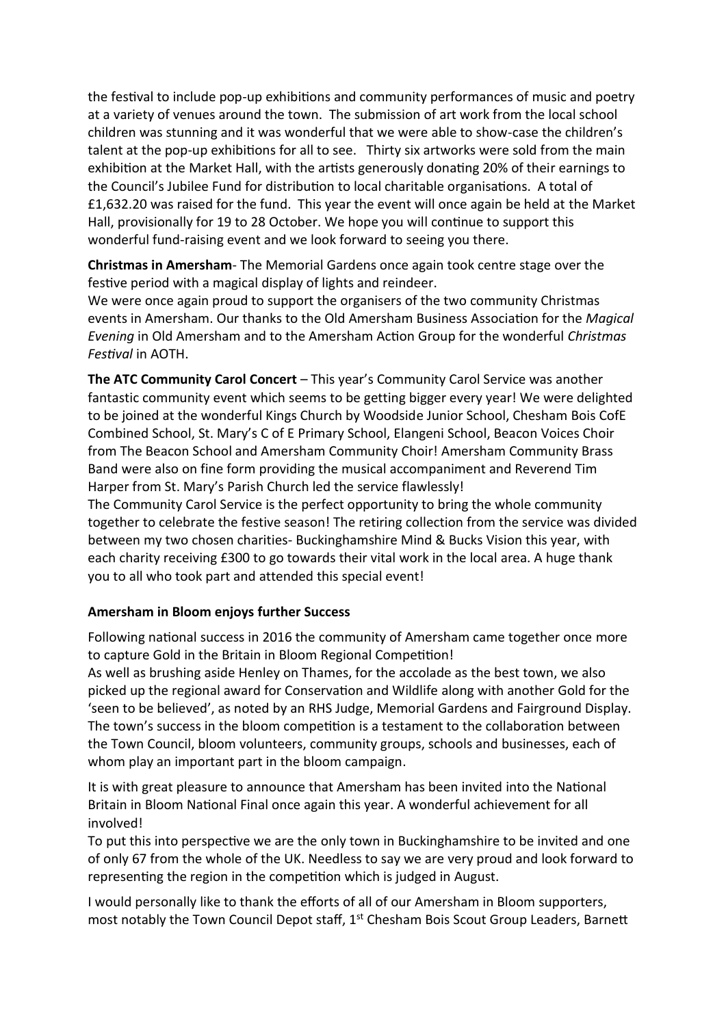the festival to include pop-up exhibitions and community performances of music and poetry at a variety of venues around the town. The submission of art work from the local school children was stunning and it was wonderful that we were able to show-case the children's talent at the pop-up exhibitions for all to see. Thirty six artworks were sold from the main exhibition at the Market Hall, with the artists generously donating 20% of their earnings to the Council's Jubilee Fund for distribution to local charitable organisations. A total of £1,632.20 was raised for the fund. This year the event will once again be held at the Market Hall, provisionally for 19 to 28 October. We hope you will continue to support this wonderful fund-raising event and we look forward to seeing you there.

**Christmas in Amersham**- The Memorial Gardens once again took centre stage over the festive period with a magical display of lights and reindeer.

We were once again proud to support the organisers of the two community Christmas events in Amersham. Our thanks to the Old Amersham Business Association for the *Magical Evening* in Old Amersham and to the Amersham Action Group for the wonderful *Christmas Festival* in AOTH.

**The ATC Community Carol Concert** – This year's Community Carol Service was another fantastic community event which seems to be getting bigger every year! We were delighted to be joined at the wonderful Kings Church by Woodside Junior School, Chesham Bois CofE Combined School, St. Mary's C of E Primary School, Elangeni School, Beacon Voices Choir from The Beacon School and Amersham Community Choir! Amersham Community Brass Band were also on fine form providing the musical accompaniment and Reverend Tim Harper from St. Mary's Parish Church led the service flawlessly!

The Community Carol Service is the perfect opportunity to bring the whole community together to celebrate the festive season! The retiring collection from the service was divided between my two chosen charities- Buckinghamshire Mind & Bucks Vision this year, with each charity receiving £300 to go towards their vital work in the local area. A huge thank you to all who took part and attended this special event!

## **Amersham in Bloom enjoys further Success**

Following national success in 2016 the community of Amersham came together once more to capture Gold in the Britain in Bloom Regional Competition!

As well as brushing aside Henley on Thames, for the accolade as the best town, we also picked up the regional award for Conservation and Wildlife along with another Gold for the 'seen to be believed', as noted by an RHS Judge, Memorial Gardens and Fairground Display. The town's success in the bloom competition is a testament to the collaboration between the Town Council, bloom volunteers, community groups, schools and businesses, each of whom play an important part in the bloom campaign.

It is with great pleasure to announce that Amersham has been invited into the National Britain in Bloom National Final once again this year. A wonderful achievement for all involved!

To put this into perspective we are the only town in Buckinghamshire to be invited and one of only 67 from the whole of the UK. Needless to say we are very proud and look forward to representing the region in the competition which is judged in August.

I would personally like to thank the efforts of all of our Amersham in Bloom supporters, most notably the Town Council Depot staff, 1<sup>st</sup> Chesham Bois Scout Group Leaders, Barnett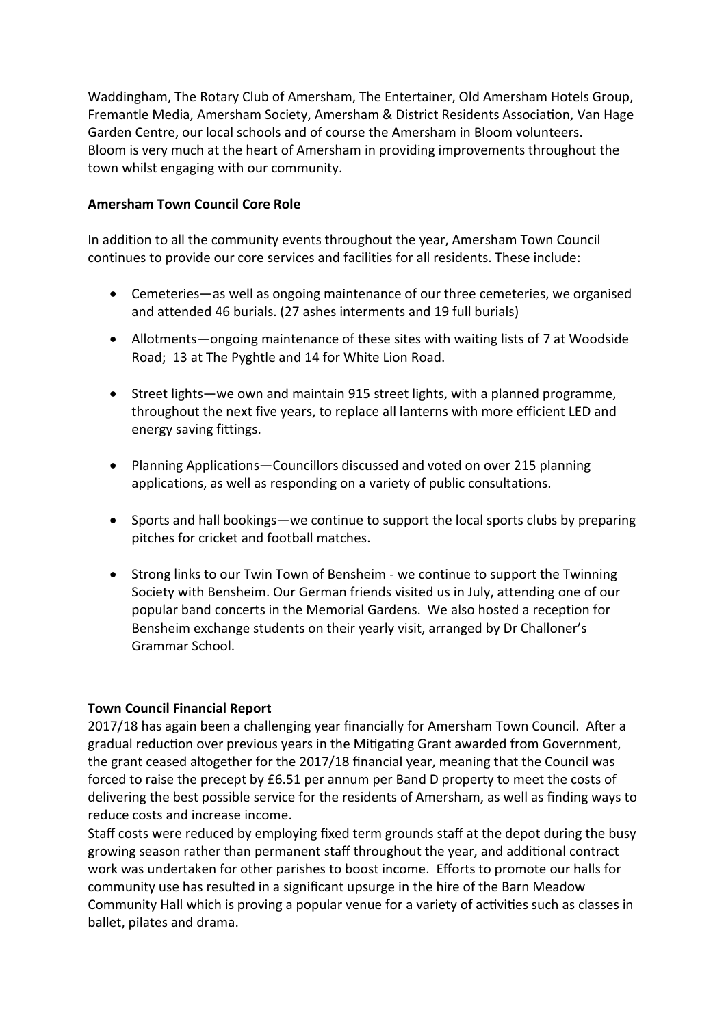Waddingham, The Rotary Club of Amersham, The Entertainer, Old Amersham Hotels Group, Fremantle Media, Amersham Society, Amersham & District Residents Association, Van Hage Garden Centre, our local schools and of course the Amersham in Bloom volunteers. Bloom is very much at the heart of Amersham in providing improvements throughout the town whilst engaging with our community.

### **Amersham Town Council Core Role**

In addition to all the community events throughout the year, Amersham Town Council continues to provide our core services and facilities for all residents. These include:

- Cemeteries—as well as ongoing maintenance of our three cemeteries, we organised and attended 46 burials. (27 ashes interments and 19 full burials)
- Allotments—ongoing maintenance of these sites with waiting lists of 7 at Woodside Road; 13 at The Pyghtle and 14 for White Lion Road.
- Street lights—we own and maintain 915 street lights, with a planned programme, throughout the next five years, to replace all lanterns with more efficient LED and energy saving fittings.
- Planning Applications—Councillors discussed and voted on over 215 planning applications, as well as responding on a variety of public consultations.
- Sports and hall bookings—we continue to support the local sports clubs by preparing pitches for cricket and football matches.
- Strong links to our Twin Town of Bensheim we continue to support the Twinning Society with Bensheim. Our German friends visited us in July, attending one of our popular band concerts in the Memorial Gardens. We also hosted a reception for Bensheim exchange students on their yearly visit, arranged by Dr Challoner's Grammar School.

#### **Town Council Financial Report**

2017/18 has again been a challenging year financially for Amersham Town Council. After a gradual reduction over previous years in the Mitigating Grant awarded from Government, the grant ceased altogether for the 2017/18 financial year, meaning that the Council was forced to raise the precept by £6.51 per annum per Band D property to meet the costs of delivering the best possible service for the residents of Amersham, as well as finding ways to reduce costs and increase income.

Staff costs were reduced by employing fixed term grounds staff at the depot during the busy growing season rather than permanent staff throughout the year, and additional contract work was undertaken for other parishes to boost income. Efforts to promote our halls for community use has resulted in a significant upsurge in the hire of the Barn Meadow Community Hall which is proving a popular venue for a variety of activities such as classes in ballet, pilates and drama.